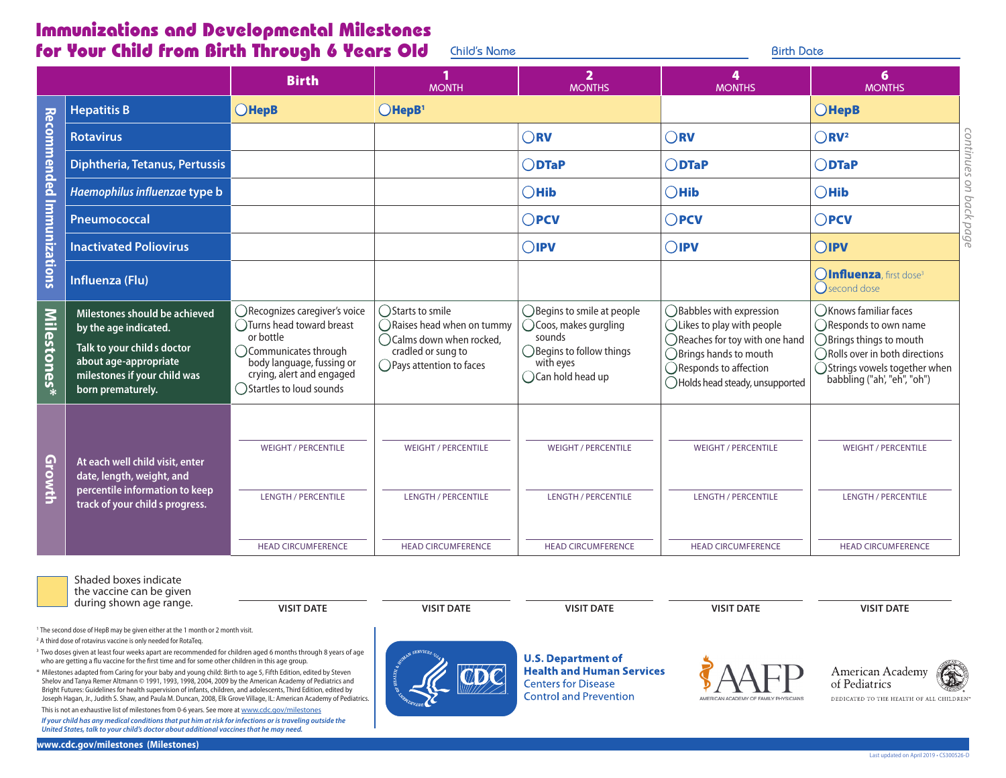## Immunizations and Developmental Milestones for Your Child from Birth Through 6 Years Old Child's Name **Birth Date** Birth Date

|                           |                                                                                                                                                                     | <b>Birth</b>                                                                                                                                                                            | <b>MONTH</b>                                                                                                                                    | $\overline{\mathbf{2}}$<br><b>MONTHS</b>                                                                                                                   | <b>MONTHS</b>                                                                                                                                                                                                | 6<br><b>MONTHS</b>                                                                                                                                                                |
|---------------------------|---------------------------------------------------------------------------------------------------------------------------------------------------------------------|-----------------------------------------------------------------------------------------------------------------------------------------------------------------------------------------|-------------------------------------------------------------------------------------------------------------------------------------------------|------------------------------------------------------------------------------------------------------------------------------------------------------------|--------------------------------------------------------------------------------------------------------------------------------------------------------------------------------------------------------------|-----------------------------------------------------------------------------------------------------------------------------------------------------------------------------------|
|                           | <b>Hepatitis B</b>                                                                                                                                                  | <b>OHepB</b>                                                                                                                                                                            | $O$ HepB <sup>1</sup>                                                                                                                           |                                                                                                                                                            |                                                                                                                                                                                                              | $O$ HepB                                                                                                                                                                          |
| Recommended Immunizations | <b>Rotavirus</b>                                                                                                                                                    |                                                                                                                                                                                         |                                                                                                                                                 | $\bigcirc$ RV                                                                                                                                              | $\bigcap$ RV                                                                                                                                                                                                 | $\bigcap$ RV <sup>2</sup>                                                                                                                                                         |
|                           | <b>Diphtheria, Tetanus, Pertussis</b>                                                                                                                               |                                                                                                                                                                                         |                                                                                                                                                 | $\bigcap$ DTaP                                                                                                                                             | $\bigcap$ DTaP                                                                                                                                                                                               | <b>UNUI</b><br>$\bigcap$ DTaP                                                                                                                                                     |
|                           | Haemophilus influenzae type b                                                                                                                                       |                                                                                                                                                                                         |                                                                                                                                                 | $\bigcirc$ Hib                                                                                                                                             | $\bigcap$ Hib                                                                                                                                                                                                | $\bigcap$ Hib                                                                                                                                                                     |
|                           | Pneumococcal                                                                                                                                                        |                                                                                                                                                                                         |                                                                                                                                                 | $\bigcirc$ PCV                                                                                                                                             | $\bigcirc$ PCV                                                                                                                                                                                               | $\bigcirc$ PCV<br>pd                                                                                                                                                              |
|                           | <b>Inactivated Poliovirus</b>                                                                                                                                       |                                                                                                                                                                                         |                                                                                                                                                 | $\bigcirc$ IPV                                                                                                                                             | $O$ IPV                                                                                                                                                                                                      | āg<br>$O$ <b>IPV</b>                                                                                                                                                              |
|                           | Influenza (Flu)                                                                                                                                                     |                                                                                                                                                                                         |                                                                                                                                                 |                                                                                                                                                            |                                                                                                                                                                                                              | <b>OInfluenza</b> , first dose <sup>3</sup><br>$\bigcap$ second dose                                                                                                              |
| <b>Milestones*</b>        | Milestones should be achieved<br>by the age indicated.<br>Talk to your child s doctor<br>about age-appropriate<br>milestones if your child was<br>born prematurely. | ◯Recognizes caregiver's voice<br>◯Turns head toward breast<br>or bottle<br>◯ Communicates through<br>body language, fussing or<br>crying, alert and engaged<br>◯Startles to loud sounds | ◯Starts to smile<br>$\bigcap$ Raises head when on tummy<br>$\bigcap$ Calms down when rocked,<br>cradled or sung to<br>◯ Pays attention to faces | ◯ Begins to smile at people<br>$\bigcirc$ Coos, makes gurgling<br>sounds<br>$\bigcirc$ Begins to follow things<br>with eyes<br>$\bigcirc$ Can hold head up | ◯Babbles with expression<br>$\bigcap$ Likes to play with people<br>$\bigcap$ Reaches for toy with one hand<br>$\bigcap$ Brings hands to mouth<br>◯ Responds to affection<br>◯ Holds head steady, unsupported | (C) Knows familiar faces<br>◯ Responds to own name<br>◯Brings things to mouth<br>◯ Rolls over in both directions<br>◯ Strings vowels together when<br>babbling ("ah', "eh", "oh") |
| Growth                    | At each well child visit, enter<br>date, length, weight, and<br>percentile information to keep<br>track of your child s progress.                                   | <b>WEIGHT / PERCENTILE</b>                                                                                                                                                              | <b>WEIGHT / PERCENTILE</b>                                                                                                                      | <b>WEIGHT / PERCENTILE</b>                                                                                                                                 | <b>WEIGHT / PERCENTILE</b>                                                                                                                                                                                   | <b>WEIGHT / PERCENTILE</b>                                                                                                                                                        |
|                           |                                                                                                                                                                     | <b>LENGTH / PERCENTILE</b>                                                                                                                                                              | <b>LENGTH / PERCENTILE</b>                                                                                                                      | <b>LENGTH / PERCENTILE</b>                                                                                                                                 | <b>LENGTH / PERCENTILE</b>                                                                                                                                                                                   | <b>LENGTH / PERCENTILE</b>                                                                                                                                                        |
|                           |                                                                                                                                                                     | <b>HEAD CIRCUMFERENCE</b>                                                                                                                                                               | <b>HEAD CIRCUMFERENCE</b>                                                                                                                       | <b>HEAD CIRCUMFERENCE</b>                                                                                                                                  | <b>HEAD CIRCUMFERENCE</b>                                                                                                                                                                                    | <b>HEAD CIRCUMFERENCE</b>                                                                                                                                                         |

Shaded boxes indicate the vaccine can be given

during shown age range. **WEST DATE And A THE STATE ASSESS** WISIT DATE **VISIT DATE** WISIT DATE **VISIT DATE** WISIT DATE

<sup>1</sup> The second dose of HepB may be given either at the 1 month or 2 month visit.

2 A third dose of rotavirus vaccine is only needed for RotaTeq.

<sup>3</sup> Two doses given at least four weeks apart are recommended for children aged 6 months through 8 years of age who are getting a fu vaccine for the frst time and for some other children in this age group.

\* Milestones adapted from Caring for your baby and young child: Birth to age 5, Fifth Edition, edited by Steven Shelov and Tanya Remer Altmann © 1991, 1993, 1998, 2004, 2009 by the American Academy of Pediatrics and Bright Futures: Guidelines for health supervision of infants, children, and adolescents, Third Edition, edited by Joseph Hagan, Jr., Judith S. Shaw, and Paula M. Duncan, 2008, Elk Grove Village, IL: American Academy of Pediatrics.

This is not an exhaustive list of milestones from 0-6 years. See more at www.cdc.gov/milestones *If your child has any medical conditions that put him at risk for infections or is traveling outside the United States, talk to your child's doctor about additional vaccines that he may need.* 

**U.S. Department of Health and Human Services Centers for Disease Control and Prevention**